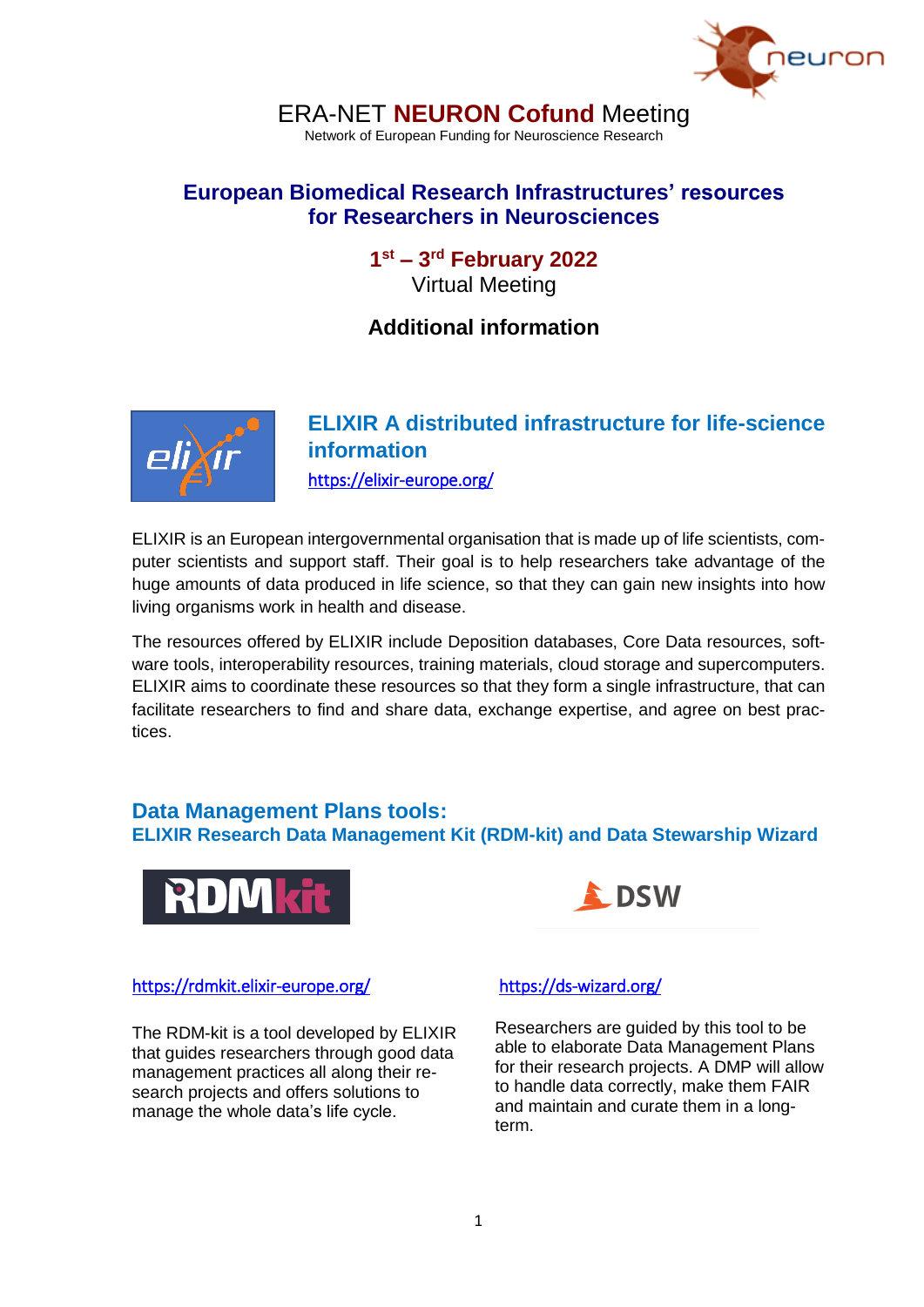

# ERA-NET **NEURON Cofund** Meeting

Network of European Funding for Neuroscience Research

## **European Biomedical Research Infrastructures' resources for Researchers in Neurosciences**

**1 st – 3 rd February 2022** Virtual Meeting

# **Additional information**



# **ELIXIR A distributed infrastructure for life-science information**  <https://elixir-europe.org/>

ELIXIR is an European intergovernmental organisation that is made up of life scientists, computer scientists and support staff. Their goal is to help researchers take advantage of the huge amounts of data produced in life science, so that they can gain new insights into how living organisms work in health and disease.

The resources offered by ELIXIR include Deposition databases, Core Data resources, software tools, interoperability resources, training materials, cloud storage and supercomputers. ELIXIR aims to coordinate these resources so that they form a single infrastructure, that can facilitate researchers to find and share data, exchange expertise, and agree on best practices.

### **Data Management Plans tools: ELIXIR Research Data Management Kit (RDM-kit) and Data Stewarship Wizard**



**DSW** 

#### <https://rdmkit.elixir-europe.org/>

The RDM-kit is a tool developed by ELIXIR that guides researchers through good data management practices all along their research projects and offers solutions to manage the whole data's life cycle.

### <https://ds-wizard.org/>

Researchers are guided by this tool to be able to elaborate Data Management Plans for their research projects. A DMP will allow to handle data correctly, make them FAIR and maintain and curate them in a longterm.